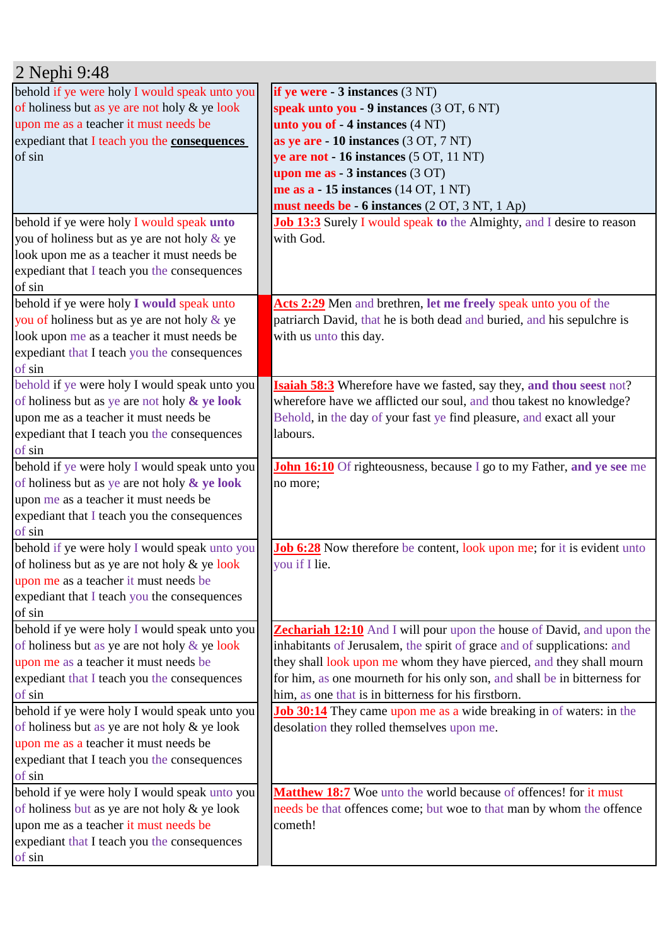| 2 Nephi 9:48                                  |                                                                                |
|-----------------------------------------------|--------------------------------------------------------------------------------|
| behold if ye were holy I would speak unto you | if ye were $-3$ instances $(3 \text{ NT})$                                     |
| of holiness but as ye are not holy & ye look  | speak unto you - 9 instances (3 OT, 6 NT)                                      |
| upon me as a teacher it must needs be         | unto you of - 4 instances (4 NT)                                               |
| expediant that I teach you the consequences   | as ye are - 10 instances (3 OT, 7 NT)                                          |
| of sin                                        | ye are not - 16 instances (5 OT, 11 NT)                                        |
|                                               | upon me as $-3$ instances $(3 OT)$                                             |
|                                               | me as $a - 15$ instances (14 OT, 1 NT)                                         |
|                                               | must needs be - 6 instances (2 OT, 3 NT, 1 Ap)                                 |
| behold if ye were holy I would speak unto     | <b>Job 13:3</b> Surely I would speak to the Almighty, and I desire to reason   |
| you of holiness but as ye are not holy & ye   | with God.                                                                      |
| look upon me as a teacher it must needs be    |                                                                                |
| expediant that I teach you the consequences   |                                                                                |
| of sin                                        |                                                                                |
| behold if ye were holy I would speak unto     | Acts 2:29 Men and brethren, let me freely speak unto you of the                |
| you of holiness but as ye are not holy & ye   | patriarch David, that he is both dead and buried, and his sepulchre is         |
| look upon me as a teacher it must needs be    | with us unto this day.                                                         |
| expediant that I teach you the consequences   |                                                                                |
| of sin                                        |                                                                                |
| behold if ye were holy I would speak unto you | Isaiah 58:3 Wherefore have we fasted, say they, and thou seest not?            |
| of holiness but as ye are not holy & ye look  | wherefore have we afflicted our soul, and thou takest no knowledge?            |
| upon me as a teacher it must needs be         | Behold, in the day of your fast ye find pleasure, and exact all your           |
| expediant that I teach you the consequences   | labours.                                                                       |
| of sin                                        |                                                                                |
| behold if ye were holy I would speak unto you | <b>John 16:10</b> Of righteousness, because I go to my Father, and ye see me   |
| of holiness but as ye are not holy & ye look  | no more;                                                                       |
| upon me as a teacher it must needs be         |                                                                                |
| expediant that I teach you the consequences   |                                                                                |
| of sin                                        |                                                                                |
| behold if ye were holy I would speak unto you | <b>Job 6:28</b> Now therefore be content, look upon me; for it is evident unto |
| of holiness but as ye are not holy & ye look  | you if I lie.                                                                  |
| upon me as a teacher it must needs be         |                                                                                |
| expediant that I teach you the consequences   |                                                                                |
| of sin                                        |                                                                                |
| behold if ye were holy I would speak unto you | <b>Zechariah 12:10</b> And I will pour upon the house of David, and upon the   |
| of holiness but as ye are not holy & ye look  | inhabitants of Jerusalem, the spirit of grace and of supplications: and        |
| upon me as a teacher it must needs be         | they shall look upon me whom they have pierced, and they shall mourn           |
| expediant that I teach you the consequences   | for him, as one mourneth for his only son, and shall be in bitterness for      |
| of sin                                        | him, as one that is in bitterness for his firstborn.                           |
| behold if ye were holy I would speak unto you | <b>Job 30:14</b> They came upon me as a wide breaking in of waters: in the     |
| of holiness but as ye are not holy & ye look  | desolation they rolled themselves upon me.                                     |
| upon me as a teacher it must needs be         |                                                                                |
| expediant that I teach you the consequences   |                                                                                |
| of sin                                        |                                                                                |
| behold if ye were holy I would speak unto you | Matthew 18:7 Woe unto the world because of offences! for it must               |
| of holiness but as ye are not holy & ye look  | needs be that offences come; but woe to that man by whom the offence           |
| upon me as a teacher it must needs be         | cometh!                                                                        |
| expediant that I teach you the consequences   |                                                                                |
| of sin                                        |                                                                                |